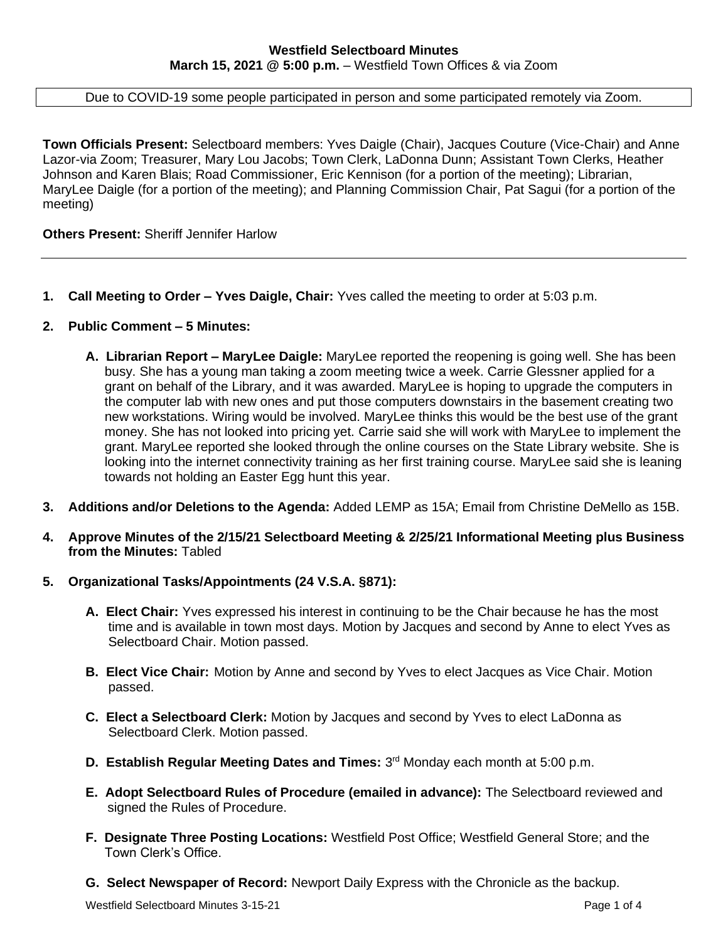Due to COVID-19 some people participated in person and some participated remotely via Zoom.

**Town Officials Present:** Selectboard members: Yves Daigle (Chair), Jacques Couture (Vice-Chair) and Anne Lazor-via Zoom; Treasurer, Mary Lou Jacobs; Town Clerk, LaDonna Dunn; Assistant Town Clerks, Heather Johnson and Karen Blais; Road Commissioner, Eric Kennison (for a portion of the meeting); Librarian, MaryLee Daigle (for a portion of the meeting); and Planning Commission Chair, Pat Sagui (for a portion of the meeting)

**Others Present:** Sheriff Jennifer Harlow

**1. Call Meeting to Order – Yves Daigle, Chair:** Yves called the meeting to order at 5:03 p.m.

#### **2. Public Comment – 5 Minutes:**

- **A. Librarian Report – MaryLee Daigle:** MaryLee reported the reopening is going well. She has been busy. She has a young man taking a zoom meeting twice a week. Carrie Glessner applied for a grant on behalf of the Library, and it was awarded. MaryLee is hoping to upgrade the computers in the computer lab with new ones and put those computers downstairs in the basement creating two new workstations. Wiring would be involved. MaryLee thinks this would be the best use of the grant money. She has not looked into pricing yet. Carrie said she will work with MaryLee to implement the grant. MaryLee reported she looked through the online courses on the State Library website. She is looking into the internet connectivity training as her first training course. MaryLee said she is leaning towards not holding an Easter Egg hunt this year.
- **3. Additions and/or Deletions to the Agenda:** Added LEMP as 15A; Email from Christine DeMello as 15B.
- **4. Approve Minutes of the 2/15/21 Selectboard Meeting & 2/25/21 Informational Meeting plus Business from the Minutes:** Tabled
- **5. Organizational Tasks/Appointments (24 V.S.A. §871):**
	- **A. Elect Chair:** Yves expressed his interest in continuing to be the Chair because he has the most time and is available in town most days. Motion by Jacques and second by Anne to elect Yves as Selectboard Chair. Motion passed.
	- **B. Elect Vice Chair:** Motion by Anne and second by Yves to elect Jacques as Vice Chair. Motion passed.
	- **C. Elect a Selectboard Clerk:** Motion by Jacques and second by Yves to elect LaDonna as Selectboard Clerk. Motion passed.
	- **D. Establish Regular Meeting Dates and Times:** 3<sup>rd</sup> Monday each month at 5:00 p.m.
	- **E. Adopt Selectboard Rules of Procedure (emailed in advance):** The Selectboard reviewed and signed the Rules of Procedure.
	- **F. Designate Three Posting Locations:** Westfield Post Office; Westfield General Store; and the Town Clerk's Office.
	- **G. Select Newspaper of Record:** Newport Daily Express with the Chronicle as the backup.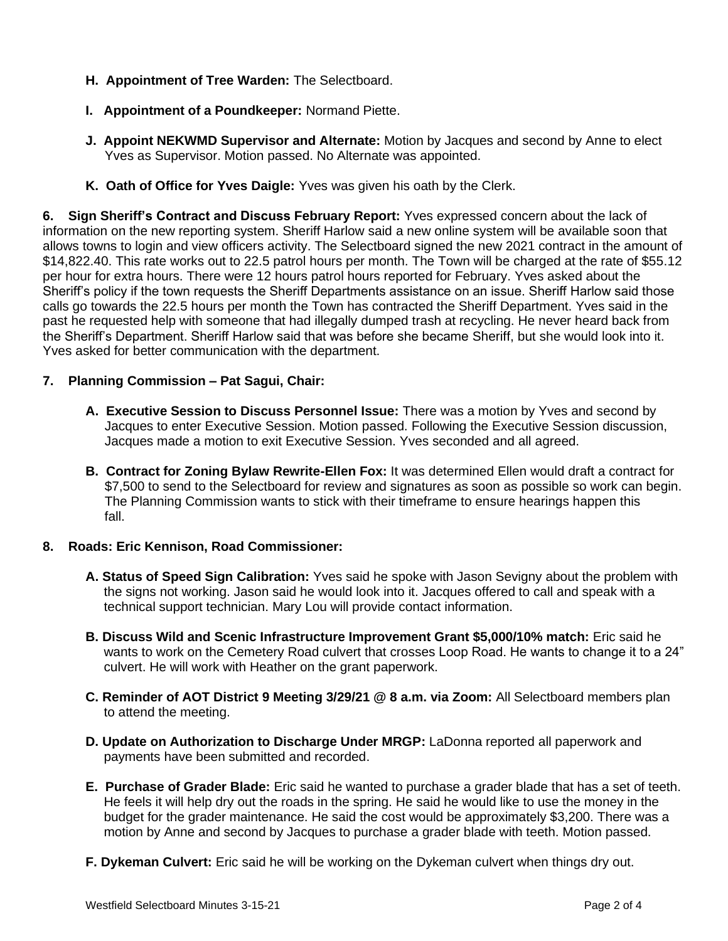- **H. Appointment of Tree Warden:** The Selectboard.
- **I. Appointment of a Poundkeeper:** Normand Piette.
- **J. Appoint NEKWMD Supervisor and Alternate:** Motion by Jacques and second by Anne to elect Yves as Supervisor. Motion passed. No Alternate was appointed.
- **K. Oath of Office for Yves Daigle:** Yves was given his oath by the Clerk.

**6. Sign Sheriff's Contract and Discuss February Report:** Yves expressed concern about the lack of information on the new reporting system. Sheriff Harlow said a new online system will be available soon that allows towns to login and view officers activity. The Selectboard signed the new 2021 contract in the amount of \$14,822.40. This rate works out to 22.5 patrol hours per month. The Town will be charged at the rate of \$55.12 per hour for extra hours. There were 12 hours patrol hours reported for February. Yves asked about the Sheriff's policy if the town requests the Sheriff Departments assistance on an issue. Sheriff Harlow said those calls go towards the 22.5 hours per month the Town has contracted the Sheriff Department. Yves said in the past he requested help with someone that had illegally dumped trash at recycling. He never heard back from the Sheriff's Department. Sheriff Harlow said that was before she became Sheriff, but she would look into it. Yves asked for better communication with the department.

## **7. Planning Commission – Pat Sagui, Chair:**

- **A. Executive Session to Discuss Personnel Issue:** There was a motion by Yves and second by Jacques to enter Executive Session. Motion passed. Following the Executive Session discussion, Jacques made a motion to exit Executive Session. Yves seconded and all agreed.
- **B. Contract for Zoning Bylaw Rewrite-Ellen Fox:** It was determined Ellen would draft a contract for \$7,500 to send to the Selectboard for review and signatures as soon as possible so work can begin. The Planning Commission wants to stick with their timeframe to ensure hearings happen this fall.

## **8. Roads: Eric Kennison, Road Commissioner:**

- **A. Status of Speed Sign Calibration:** Yves said he spoke with Jason Sevigny about the problem with the signs not working. Jason said he would look into it. Jacques offered to call and speak with a technical support technician. Mary Lou will provide contact information.
- **B. Discuss Wild and Scenic Infrastructure Improvement Grant \$5,000/10% match:** Eric said he wants to work on the Cemetery Road culvert that crosses Loop Road. He wants to change it to a 24" culvert. He will work with Heather on the grant paperwork.
- **C. Reminder of AOT District 9 Meeting 3/29/21 @ 8 a.m. via Zoom:** All Selectboard members plan to attend the meeting.
- **D. Update on Authorization to Discharge Under MRGP:** LaDonna reported all paperwork and payments have been submitted and recorded.
- **E. Purchase of Grader Blade:** Eric said he wanted to purchase a grader blade that has a set of teeth. He feels it will help dry out the roads in the spring. He said he would like to use the money in the budget for the grader maintenance. He said the cost would be approximately \$3,200. There was a motion by Anne and second by Jacques to purchase a grader blade with teeth. Motion passed.
- **F. Dykeman Culvert:** Eric said he will be working on the Dykeman culvert when things dry out.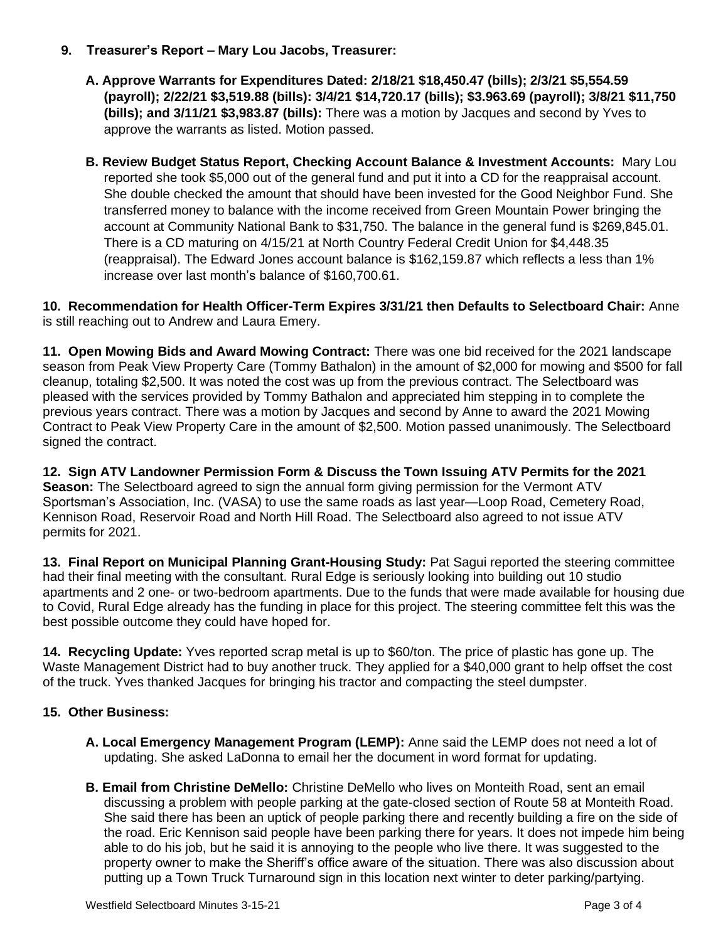## **9. Treasurer's Report – Mary Lou Jacobs, Treasurer:**

- **A. Approve Warrants for Expenditures Dated: 2/18/21 \$18,450.47 (bills); 2/3/21 \$5,554.59 (payroll); 2/22/21 \$3,519.88 (bills): 3/4/21 \$14,720.17 (bills); \$3.963.69 (payroll); 3/8/21 \$11,750 (bills); and 3/11/21 \$3,983.87 (bills):** There was a motion by Jacques and second by Yves to approve the warrants as listed. Motion passed.
- **B. Review Budget Status Report, Checking Account Balance & Investment Accounts:** Mary Lou reported she took \$5,000 out of the general fund and put it into a CD for the reappraisal account. She double checked the amount that should have been invested for the Good Neighbor Fund. She transferred money to balance with the income received from Green Mountain Power bringing the account at Community National Bank to \$31,750. The balance in the general fund is \$269,845.01. There is a CD maturing on 4/15/21 at North Country Federal Credit Union for \$4,448.35 (reappraisal). The Edward Jones account balance is \$162,159.87 which reflects a less than 1% increase over last month's balance of \$160,700.61.

**10. Recommendation for Health Officer-Term Expires 3/31/21 then Defaults to Selectboard Chair:** Anne is still reaching out to Andrew and Laura Emery.

**11. Open Mowing Bids and Award Mowing Contract:** There was one bid received for the 2021 landscape season from Peak View Property Care (Tommy Bathalon) in the amount of \$2,000 for mowing and \$500 for fall cleanup, totaling \$2,500. It was noted the cost was up from the previous contract. The Selectboard was pleased with the services provided by Tommy Bathalon and appreciated him stepping in to complete the previous years contract. There was a motion by Jacques and second by Anne to award the 2021 Mowing Contract to Peak View Property Care in the amount of \$2,500. Motion passed unanimously. The Selectboard signed the contract.

**12. Sign ATV Landowner Permission Form & Discuss the Town Issuing ATV Permits for the 2021 Season:** The Selectboard agreed to sign the annual form giving permission for the Vermont ATV Sportsman's Association, Inc. (VASA) to use the same roads as last year—Loop Road, Cemetery Road, Kennison Road, Reservoir Road and North Hill Road. The Selectboard also agreed to not issue ATV permits for 2021.

**13. Final Report on Municipal Planning Grant-Housing Study:** Pat Sagui reported the steering committee had their final meeting with the consultant. Rural Edge is seriously looking into building out 10 studio apartments and 2 one- or two-bedroom apartments. Due to the funds that were made available for housing due to Covid, Rural Edge already has the funding in place for this project. The steering committee felt this was the best possible outcome they could have hoped for.

**14. Recycling Update:** Yves reported scrap metal is up to \$60/ton. The price of plastic has gone up. The Waste Management District had to buy another truck. They applied for a \$40,000 grant to help offset the cost of the truck. Yves thanked Jacques for bringing his tractor and compacting the steel dumpster.

# **15. Other Business:**

- **A. Local Emergency Management Program (LEMP):** Anne said the LEMP does not need a lot of updating. She asked LaDonna to email her the document in word format for updating.
- **B. Email from Christine DeMello:** Christine DeMello who lives on Monteith Road, sent an email discussing a problem with people parking at the gate-closed section of Route 58 at Monteith Road. She said there has been an uptick of people parking there and recently building a fire on the side of the road. Eric Kennison said people have been parking there for years. It does not impede him being able to do his job, but he said it is annoying to the people who live there. It was suggested to the property owner to make the Sheriff's office aware of the situation. There was also discussion about putting up a Town Truck Turnaround sign in this location next winter to deter parking/partying.